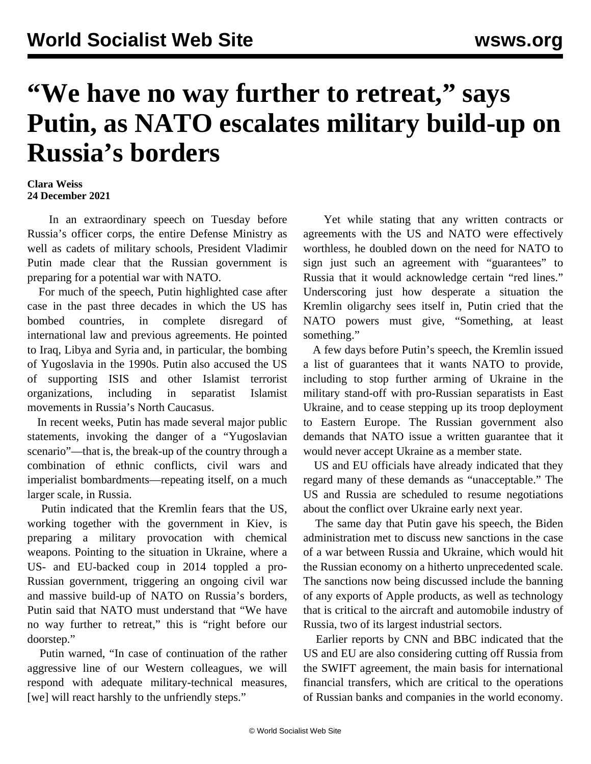## **"We have no way further to retreat," says Putin, as NATO escalates military build-up on Russia's borders**

## **Clara Weiss 24 December 2021**

 In an extraordinary speech on Tuesday before Russia's officer corps, the entire Defense Ministry as well as cadets of military schools, President Vladimir Putin made clear that the Russian government is preparing for a potential war with NATO.

 For much of the speech, Putin highlighted case after case in the past three decades in which the US has bombed countries, in complete disregard of international law and previous agreements. He pointed to Iraq, Libya and Syria and, in particular, the bombing of Yugoslavia in the 1990s. Putin also accused the US of supporting ISIS and other Islamist terrorist organizations, including in separatist Islamist movements in Russia's North Caucasus.

 In recent weeks, Putin has made several major public statements, invoking the danger of a "Yugoslavian scenario"—that is, the break-up of the country through a combination of ethnic conflicts, civil wars and imperialist bombardments—repeating itself, on a much larger scale, in Russia.

 Putin indicated that the Kremlin fears that the US, working together with the government in Kiev, is preparing a military provocation with chemical weapons. Pointing to the situation in Ukraine, where a US- and EU-backed coup in 2014 toppled a pro-Russian government, triggering an ongoing civil war and massive build-up of NATO on Russia's borders, Putin said that NATO must understand that "We have no way further to retreat," this is "right before our doorstep."

 Putin warned, "In case of continuation of the rather aggressive line of our Western colleagues, we will respond with adequate military-technical measures, [we] will react harshly to the unfriendly steps."

 Yet while stating that any written contracts or agreements with the US and NATO were effectively worthless, he doubled down on the need for NATO to sign just such an agreement with "guarantees" to Russia that it would acknowledge certain "red lines." Underscoring just how desperate a situation the Kremlin oligarchy sees itself in, Putin cried that the NATO powers must give, "Something, at least something."

 A few days before Putin's speech, the Kremlin issued a list of guarantees that it wants NATO to provide, including to stop further arming of Ukraine in the military stand-off with pro-Russian separatists in East Ukraine, and to cease stepping up its troop deployment to Eastern Europe. The Russian government also demands that NATO issue a written guarantee that it would never accept Ukraine as a member state.

 US and EU officials have already indicated that they regard many of these demands as "unacceptable." The US and Russia are scheduled to resume negotiations about the conflict over Ukraine early next year.

 The same day that Putin gave his speech, the Biden administration met to discuss new sanctions in the case of a war between Russia and Ukraine, which would hit the Russian economy on a hitherto unprecedented scale. The sanctions now being discussed include the banning of any exports of Apple products, as well as technology that is critical to the aircraft and automobile industry of Russia, two of its largest industrial sectors.

 [Earlier reports](/en/articles/2021/12/08/ruus-d08.html) by CNN and BBC indicated that the US and EU are also considering cutting off Russia from the SWIFT agreement, the main basis for international financial transfers, which are critical to the operations of Russian banks and companies in the world economy.